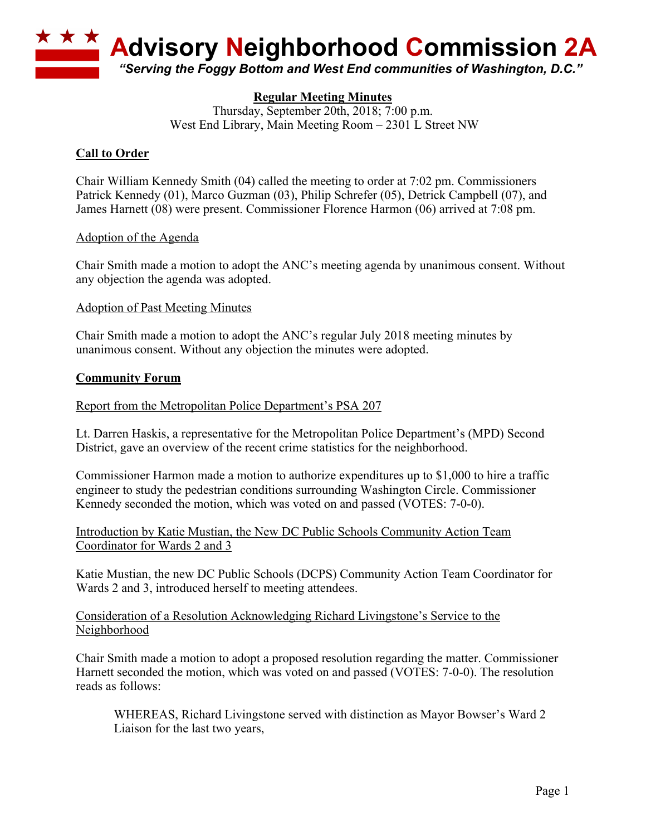

# **Regular Meeting Minutes**

Thursday, September 20th, 2018; 7:00 p.m. West End Library, Main Meeting Room – 2301 L Street NW

# **Call to Order**

Chair William Kennedy Smith (04) called the meeting to order at 7:02 pm. Commissioners Patrick Kennedy (01), Marco Guzman (03), Philip Schrefer (05), Detrick Campbell (07), and James Harnett (08) were present. Commissioner Florence Harmon (06) arrived at 7:08 pm.

## Adoption of the Agenda

Chair Smith made a motion to adopt the ANC's meeting agenda by unanimous consent. Without any objection the agenda was adopted.

#### Adoption of Past Meeting Minutes

Chair Smith made a motion to adopt the ANC's regular July 2018 meeting minutes by unanimous consent. Without any objection the minutes were adopted.

#### **Community Forum**

Report from the Metropolitan Police Department's PSA 207

Lt. Darren Haskis, a representative for the Metropolitan Police Department's (MPD) Second District, gave an overview of the recent crime statistics for the neighborhood.

Commissioner Harmon made a motion to authorize expenditures up to \$1,000 to hire a traffic engineer to study the pedestrian conditions surrounding Washington Circle. Commissioner Kennedy seconded the motion, which was voted on and passed (VOTES: 7-0-0).

Introduction by Katie Mustian, the New DC Public Schools Community Action Team Coordinator for Wards 2 and 3

Katie Mustian, the new DC Public Schools (DCPS) Community Action Team Coordinator for Wards 2 and 3, introduced herself to meeting attendees.

## Consideration of a Resolution Acknowledging Richard Livingstone's Service to the Neighborhood

Chair Smith made a motion to adopt a proposed resolution regarding the matter. Commissioner Harnett seconded the motion, which was voted on and passed (VOTES: 7-0-0). The resolution reads as follows:

WHEREAS, Richard Livingstone served with distinction as Mayor Bowser's Ward 2 Liaison for the last two years,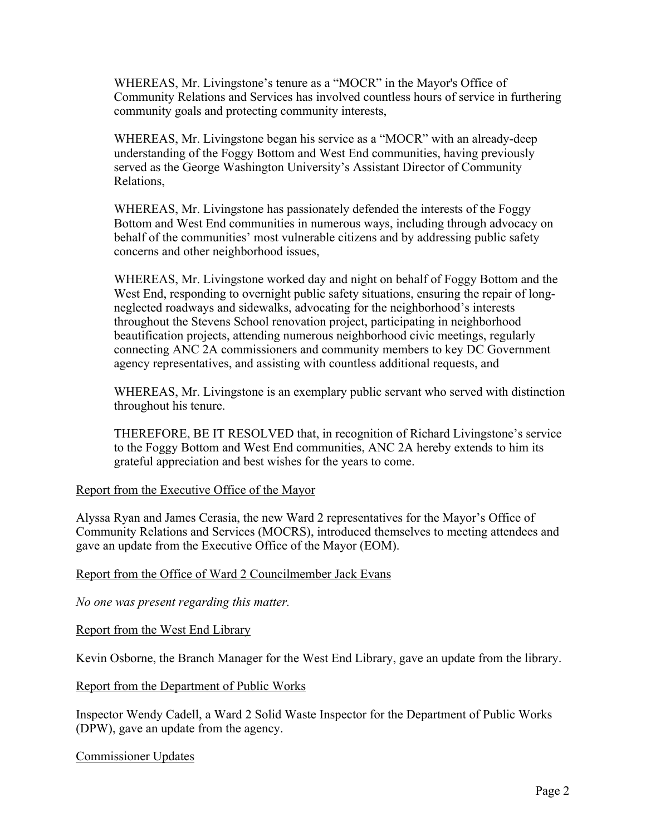WHEREAS, Mr. Livingstone's tenure as a "MOCR" in the Mayor's Office of Community Relations and Services has involved countless hours of service in furthering community goals and protecting community interests,

WHEREAS, Mr. Livingstone began his service as a "MOCR" with an already-deep understanding of the Foggy Bottom and West End communities, having previously served as the George Washington University's Assistant Director of Community Relations,

WHEREAS, Mr. Livingstone has passionately defended the interests of the Foggy Bottom and West End communities in numerous ways, including through advocacy on behalf of the communities' most vulnerable citizens and by addressing public safety concerns and other neighborhood issues,

WHEREAS, Mr. Livingstone worked day and night on behalf of Foggy Bottom and the West End, responding to overnight public safety situations, ensuring the repair of longneglected roadways and sidewalks, advocating for the neighborhood's interests throughout the Stevens School renovation project, participating in neighborhood beautification projects, attending numerous neighborhood civic meetings, regularly connecting ANC 2A commissioners and community members to key DC Government agency representatives, and assisting with countless additional requests, and

WHEREAS, Mr. Livingstone is an exemplary public servant who served with distinction throughout his tenure.

THEREFORE, BE IT RESOLVED that, in recognition of Richard Livingstone's service to the Foggy Bottom and West End communities, ANC 2A hereby extends to him its grateful appreciation and best wishes for the years to come.

## Report from the Executive Office of the Mayor

Alyssa Ryan and James Cerasia, the new Ward 2 representatives for the Mayor's Office of Community Relations and Services (MOCRS), introduced themselves to meeting attendees and gave an update from the Executive Office of the Mayor (EOM).

## Report from the Office of Ward 2 Councilmember Jack Evans

*No one was present regarding this matter.*

Report from the West End Library

Kevin Osborne, the Branch Manager for the West End Library, gave an update from the library.

## Report from the Department of Public Works

Inspector Wendy Cadell, a Ward 2 Solid Waste Inspector for the Department of Public Works (DPW), gave an update from the agency.

## Commissioner Updates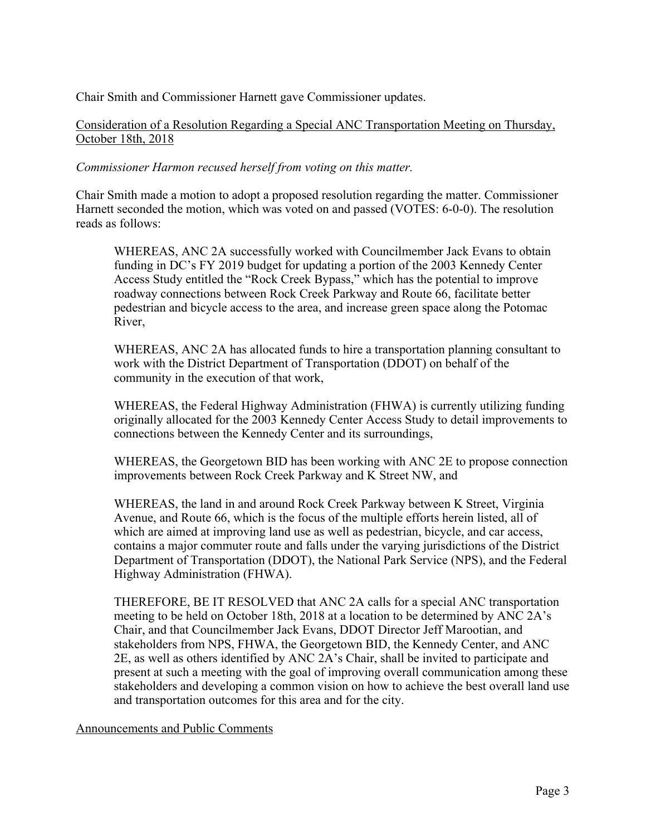Chair Smith and Commissioner Harnett gave Commissioner updates.

Consideration of a Resolution Regarding a Special ANC Transportation Meeting on Thursday, October 18th, 2018

*Commissioner Harmon recused herself from voting on this matter.*

Chair Smith made a motion to adopt a proposed resolution regarding the matter. Commissioner Harnett seconded the motion, which was voted on and passed (VOTES: 6-0-0). The resolution reads as follows:

WHEREAS, ANC 2A successfully worked with Councilmember Jack Evans to obtain funding in DC's FY 2019 budget for updating a portion of the 2003 Kennedy Center Access Study entitled the "Rock Creek Bypass," which has the potential to improve roadway connections between Rock Creek Parkway and Route 66, facilitate better pedestrian and bicycle access to the area, and increase green space along the Potomac River,

WHEREAS, ANC 2A has allocated funds to hire a transportation planning consultant to work with the District Department of Transportation (DDOT) on behalf of the community in the execution of that work,

WHEREAS, the Federal Highway Administration (FHWA) is currently utilizing funding originally allocated for the 2003 Kennedy Center Access Study to detail improvements to connections between the Kennedy Center and its surroundings,

WHEREAS, the Georgetown BID has been working with ANC 2E to propose connection improvements between Rock Creek Parkway and K Street NW, and

WHEREAS, the land in and around Rock Creek Parkway between K Street, Virginia Avenue, and Route 66, which is the focus of the multiple efforts herein listed, all of which are aimed at improving land use as well as pedestrian, bicycle, and car access, contains a major commuter route and falls under the varying jurisdictions of the District Department of Transportation (DDOT), the National Park Service (NPS), and the Federal Highway Administration (FHWA).

THEREFORE, BE IT RESOLVED that ANC 2A calls for a special ANC transportation meeting to be held on October 18th, 2018 at a location to be determined by ANC 2A's Chair, and that Councilmember Jack Evans, DDOT Director Jeff Marootian, and stakeholders from NPS, FHWA, the Georgetown BID, the Kennedy Center, and ANC 2E, as well as others identified by ANC 2A's Chair, shall be invited to participate and present at such a meeting with the goal of improving overall communication among these stakeholders and developing a common vision on how to achieve the best overall land use and transportation outcomes for this area and for the city.

Announcements and Public Comments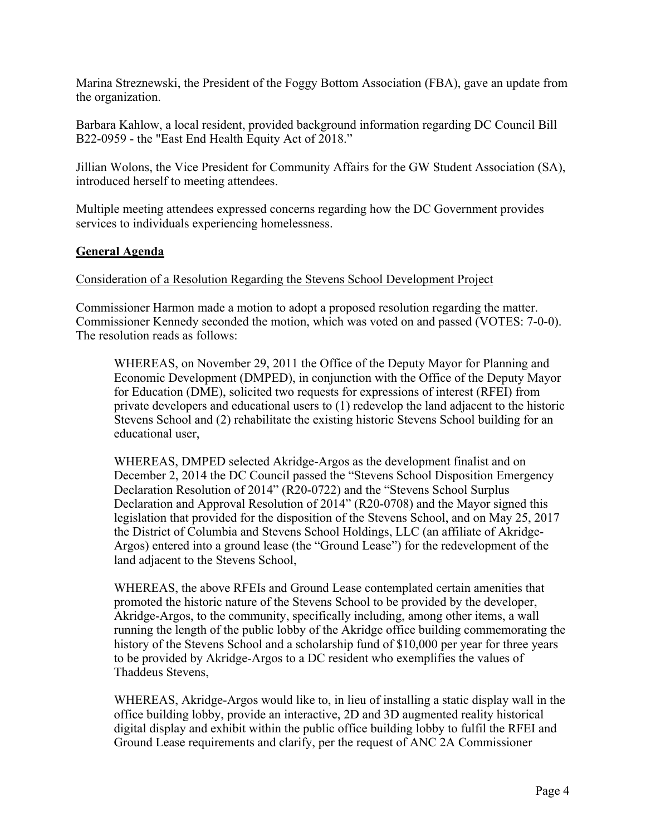Marina Streznewski, the President of the Foggy Bottom Association (FBA), gave an update from the organization.

Barbara Kahlow, a local resident, provided background information regarding DC Council Bill B22-0959 - the "East End Health Equity Act of 2018."

Jillian Wolons, the Vice President for Community Affairs for the GW Student Association (SA), introduced herself to meeting attendees.

Multiple meeting attendees expressed concerns regarding how the DC Government provides services to individuals experiencing homelessness.

# **General Agenda**

#### Consideration of a Resolution Regarding the Stevens School Development Project

Commissioner Harmon made a motion to adopt a proposed resolution regarding the matter. Commissioner Kennedy seconded the motion, which was voted on and passed (VOTES: 7-0-0). The resolution reads as follows:

WHEREAS, on November 29, 2011 the Office of the Deputy Mayor for Planning and Economic Development (DMPED), in conjunction with the Office of the Deputy Mayor for Education (DME), solicited two requests for expressions of interest (RFEI) from private developers and educational users to (1) redevelop the land adjacent to the historic Stevens School and (2) rehabilitate the existing historic Stevens School building for an educational user,

WHEREAS, DMPED selected Akridge-Argos as the development finalist and on December 2, 2014 the DC Council passed the "Stevens School Disposition Emergency Declaration Resolution of 2014" (R20-0722) and the "Stevens School Surplus Declaration and Approval Resolution of 2014" (R20-0708) and the Mayor signed this legislation that provided for the disposition of the Stevens School, and on May 25, 2017 the District of Columbia and Stevens School Holdings, LLC (an affiliate of Akridge-Argos) entered into a ground lease (the "Ground Lease") for the redevelopment of the land adjacent to the Stevens School,

WHEREAS, the above RFEIs and Ground Lease contemplated certain amenities that promoted the historic nature of the Stevens School to be provided by the developer, Akridge-Argos, to the community, specifically including, among other items, a wall running the length of the public lobby of the Akridge office building commemorating the history of the Stevens School and a scholarship fund of \$10,000 per year for three years to be provided by Akridge-Argos to a DC resident who exemplifies the values of Thaddeus Stevens,

WHEREAS, Akridge-Argos would like to, in lieu of installing a static display wall in the office building lobby, provide an interactive, 2D and 3D augmented reality historical digital display and exhibit within the public office building lobby to fulfil the RFEI and Ground Lease requirements and clarify, per the request of ANC 2A Commissioner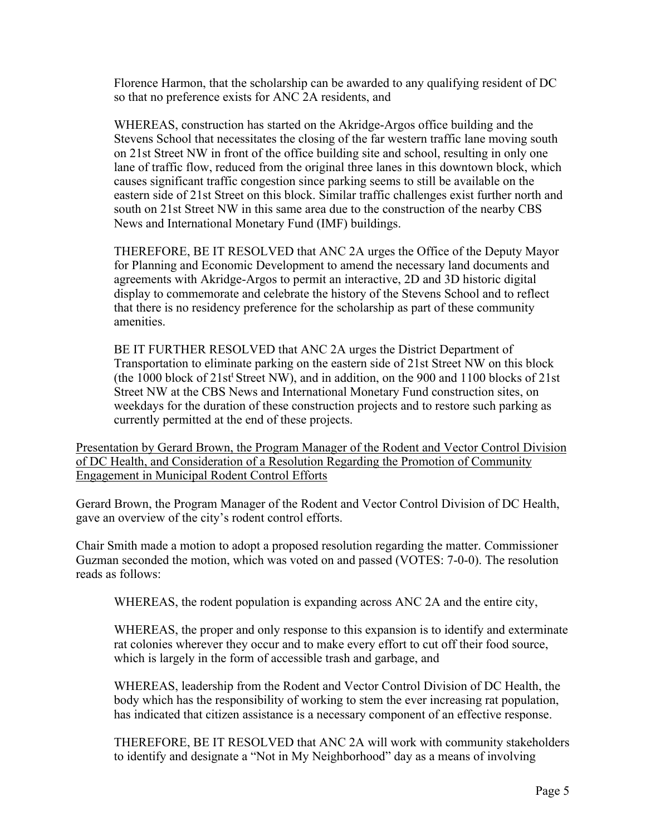Florence Harmon, that the scholarship can be awarded to any qualifying resident of DC so that no preference exists for ANC 2A residents, and

WHEREAS, construction has started on the Akridge-Argos office building and the Stevens School that necessitates the closing of the far western traffic lane moving south on 21st Street NW in front of the office building site and school, resulting in only one lane of traffic flow, reduced from the original three lanes in this downtown block, which causes significant traffic congestion since parking seems to still be available on the eastern side of 21st Street on this block. Similar traffic challenges exist further north and south on 21st Street NW in this same area due to the construction of the nearby CBS News and International Monetary Fund (IMF) buildings.

THEREFORE, BE IT RESOLVED that ANC 2A urges the Office of the Deputy Mayor for Planning and Economic Development to amend the necessary land documents and agreements with Akridge-Argos to permit an interactive, 2D and 3D historic digital display to commemorate and celebrate the history of the Stevens School and to reflect that there is no residency preference for the scholarship as part of these community amenities.

BE IT FURTHER RESOLVED that ANC 2A urges the District Department of Transportation to eliminate parking on the eastern side of 21st Street NW on this block (the 1000 block of 21st<sup>t</sup> Street NW), and in addition, on the 900 and 1100 blocks of 21st Street NW at the CBS News and International Monetary Fund construction sites, on weekdays for the duration of these construction projects and to restore such parking as currently permitted at the end of these projects.

Presentation by Gerard Brown, the Program Manager of the Rodent and Vector Control Division of DC Health, and Consideration of a Resolution Regarding the Promotion of Community Engagement in Municipal Rodent Control Efforts

Gerard Brown, the Program Manager of the Rodent and Vector Control Division of DC Health, gave an overview of the city's rodent control efforts.

Chair Smith made a motion to adopt a proposed resolution regarding the matter. Commissioner Guzman seconded the motion, which was voted on and passed (VOTES: 7-0-0). The resolution reads as follows:

WHEREAS, the rodent population is expanding across ANC 2A and the entire city,

WHEREAS, the proper and only response to this expansion is to identify and exterminate rat colonies wherever they occur and to make every effort to cut off their food source, which is largely in the form of accessible trash and garbage, and

WHEREAS, leadership from the Rodent and Vector Control Division of DC Health, the body which has the responsibility of working to stem the ever increasing rat population, has indicated that citizen assistance is a necessary component of an effective response.

THEREFORE, BE IT RESOLVED that ANC 2A will work with community stakeholders to identify and designate a "Not in My Neighborhood" day as a means of involving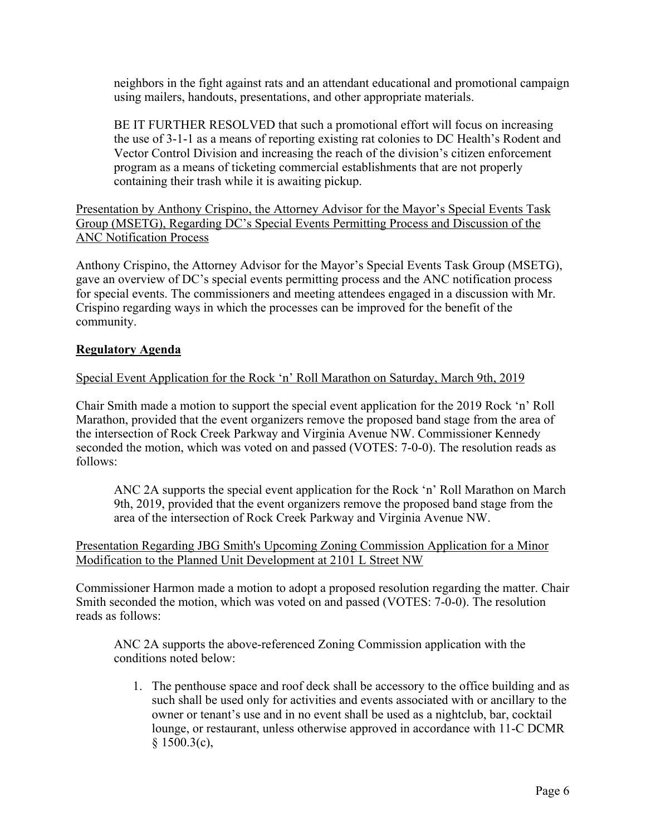neighbors in the fight against rats and an attendant educational and promotional campaign using mailers, handouts, presentations, and other appropriate materials.

BE IT FURTHER RESOLVED that such a promotional effort will focus on increasing the use of 3-1-1 as a means of reporting existing rat colonies to DC Health's Rodent and Vector Control Division and increasing the reach of the division's citizen enforcement program as a means of ticketing commercial establishments that are not properly containing their trash while it is awaiting pickup.

Presentation by Anthony Crispino, the Attorney Advisor for the Mayor's Special Events Task Group (MSETG), Regarding DC's Special Events Permitting Process and Discussion of the ANC Notification Process

Anthony Crispino, the Attorney Advisor for the Mayor's Special Events Task Group (MSETG), gave an overview of DC's special events permitting process and the ANC notification process for special events. The commissioners and meeting attendees engaged in a discussion with Mr. Crispino regarding ways in which the processes can be improved for the benefit of the community.

# **Regulatory Agenda**

# Special Event Application for the Rock 'n' Roll Marathon on Saturday, March 9th, 2019

Chair Smith made a motion to support the special event application for the 2019 Rock 'n' Roll Marathon, provided that the event organizers remove the proposed band stage from the area of the intersection of Rock Creek Parkway and Virginia Avenue NW. Commissioner Kennedy seconded the motion, which was voted on and passed (VOTES: 7-0-0). The resolution reads as follows:

ANC 2A supports the special event application for the Rock 'n' Roll Marathon on March 9th, 2019, provided that the event organizers remove the proposed band stage from the area of the intersection of Rock Creek Parkway and Virginia Avenue NW.

Presentation Regarding JBG Smith's Upcoming Zoning Commission Application for a Minor Modification to the Planned Unit Development at 2101 L Street NW

Commissioner Harmon made a motion to adopt a proposed resolution regarding the matter. Chair Smith seconded the motion, which was voted on and passed (VOTES: 7-0-0). The resolution reads as follows:

ANC 2A supports the above-referenced Zoning Commission application with the conditions noted below:

1. The penthouse space and roof deck shall be accessory to the office building and as such shall be used only for activities and events associated with or ancillary to the owner or tenant's use and in no event shall be used as a nightclub, bar, cocktail lounge, or restaurant, unless otherwise approved in accordance with 11-C DCMR  $§ 1500.3(c),$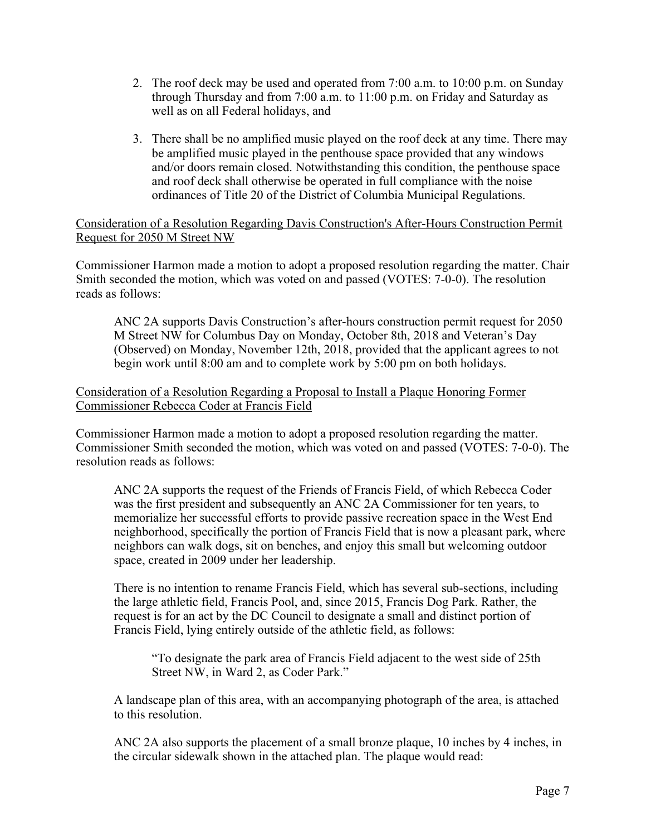- 2. The roof deck may be used and operated from 7:00 a.m. to 10:00 p.m. on Sunday through Thursday and from 7:00 a.m. to 11:00 p.m. on Friday and Saturday as well as on all Federal holidays, and
- 3. There shall be no amplified music played on the roof deck at any time. There may be amplified music played in the penthouse space provided that any windows and/or doors remain closed. Notwithstanding this condition, the penthouse space and roof deck shall otherwise be operated in full compliance with the noise ordinances of Title 20 of the District of Columbia Municipal Regulations.

Consideration of a Resolution Regarding Davis Construction's After-Hours Construction Permit Request for 2050 M Street NW

Commissioner Harmon made a motion to adopt a proposed resolution regarding the matter. Chair Smith seconded the motion, which was voted on and passed (VOTES: 7-0-0). The resolution reads as follows:

ANC 2A supports Davis Construction's after-hours construction permit request for 2050 M Street NW for Columbus Day on Monday, October 8th, 2018 and Veteran's Day (Observed) on Monday, November 12th, 2018, provided that the applicant agrees to not begin work until 8:00 am and to complete work by 5:00 pm on both holidays.

# Consideration of a Resolution Regarding a Proposal to Install a Plaque Honoring Former Commissioner Rebecca Coder at Francis Field

Commissioner Harmon made a motion to adopt a proposed resolution regarding the matter. Commissioner Smith seconded the motion, which was voted on and passed (VOTES: 7-0-0). The resolution reads as follows:

ANC 2A supports the request of the Friends of Francis Field, of which Rebecca Coder was the first president and subsequently an ANC 2A Commissioner for ten years, to memorialize her successful efforts to provide passive recreation space in the West End neighborhood, specifically the portion of Francis Field that is now a pleasant park, where neighbors can walk dogs, sit on benches, and enjoy this small but welcoming outdoor space, created in 2009 under her leadership.

There is no intention to rename Francis Field, which has several sub-sections, including the large athletic field, Francis Pool, and, since 2015, Francis Dog Park. Rather, the request is for an act by the DC Council to designate a small and distinct portion of Francis Field, lying entirely outside of the athletic field, as follows:

"To designate the park area of Francis Field adjacent to the west side of 25th Street NW, in Ward 2, as Coder Park."

A landscape plan of this area, with an accompanying photograph of the area, is attached to this resolution.

ANC 2A also supports the placement of a small bronze plaque, 10 inches by 4 inches, in the circular sidewalk shown in the attached plan. The plaque would read: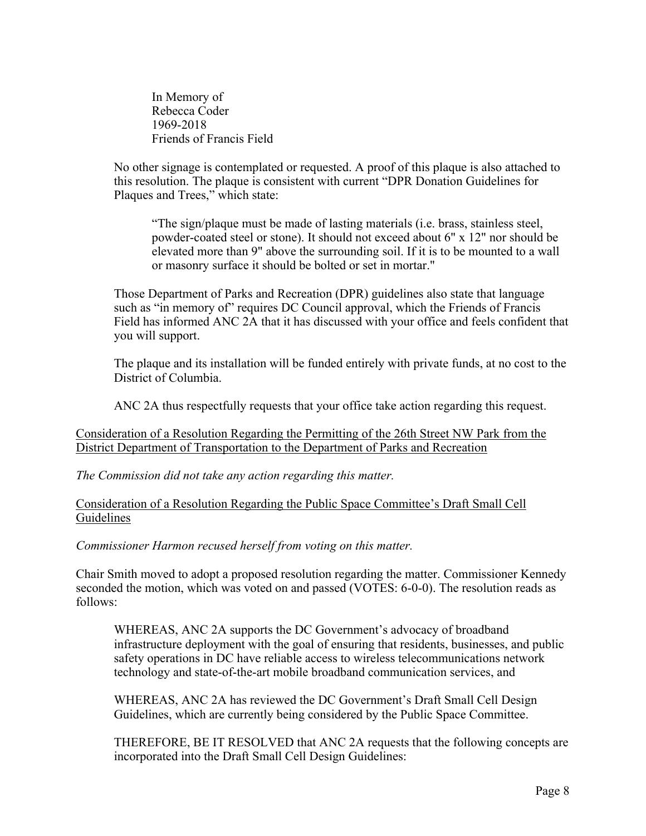In Memory of Rebecca Coder 1969-2018 Friends of Francis Field

No other signage is contemplated or requested. A proof of this plaque is also attached to this resolution. The plaque is consistent with current "DPR Donation Guidelines for Plaques and Trees," which state:

"The sign/plaque must be made of lasting materials (i.e. brass, stainless steel, powder-coated steel or stone). It should not exceed about 6" x 12" nor should be elevated more than 9" above the surrounding soil. If it is to be mounted to a wall or masonry surface it should be bolted or set in mortar."

Those Department of Parks and Recreation (DPR) guidelines also state that language such as "in memory of" requires DC Council approval, which the Friends of Francis Field has informed ANC 2A that it has discussed with your office and feels confident that you will support.

The plaque and its installation will be funded entirely with private funds, at no cost to the District of Columbia.

ANC 2A thus respectfully requests that your office take action regarding this request.

Consideration of a Resolution Regarding the Permitting of the 26th Street NW Park from the District Department of Transportation to the Department of Parks and Recreation

*The Commission did not take any action regarding this matter.*

Consideration of a Resolution Regarding the Public Space Committee's Draft Small Cell Guidelines

*Commissioner Harmon recused herself from voting on this matter.*

Chair Smith moved to adopt a proposed resolution regarding the matter. Commissioner Kennedy seconded the motion, which was voted on and passed (VOTES: 6-0-0). The resolution reads as follows:

WHEREAS, ANC 2A supports the DC Government's advocacy of broadband infrastructure deployment with the goal of ensuring that residents, businesses, and public safety operations in DC have reliable access to wireless telecommunications network technology and state-of-the-art mobile broadband communication services, and

WHEREAS, ANC 2A has reviewed the DC Government's Draft Small Cell Design Guidelines, which are currently being considered by the Public Space Committee.

THEREFORE, BE IT RESOLVED that ANC 2A requests that the following concepts are incorporated into the Draft Small Cell Design Guidelines: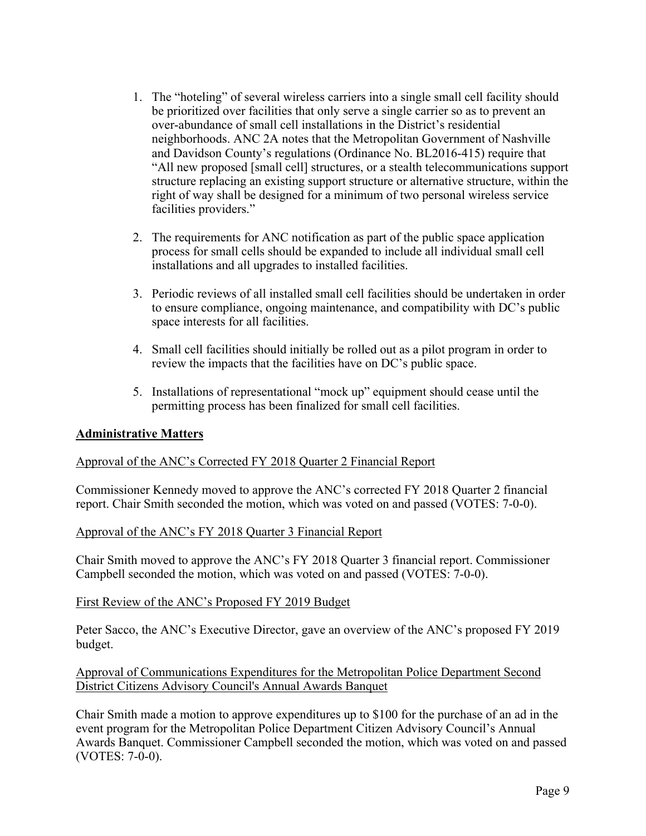- 1. The "hoteling" of several wireless carriers into a single small cell facility should be prioritized over facilities that only serve a single carrier so as to prevent an over-abundance of small cell installations in the District's residential neighborhoods. ANC 2A notes that the Metropolitan Government of Nashville and Davidson County's regulations (Ordinance No. BL2016-415) require that "All new proposed [small cell] structures, or a stealth telecommunications support structure replacing an existing support structure or alternative structure, within the right of way shall be designed for a minimum of two personal wireless service facilities providers."
- 2. The requirements for ANC notification as part of the public space application process for small cells should be expanded to include all individual small cell installations and all upgrades to installed facilities.
- 3. Periodic reviews of all installed small cell facilities should be undertaken in order to ensure compliance, ongoing maintenance, and compatibility with DC's public space interests for all facilities.
- 4. Small cell facilities should initially be rolled out as a pilot program in order to review the impacts that the facilities have on DC's public space.
- 5. Installations of representational "mock up" equipment should cease until the permitting process has been finalized for small cell facilities.

## **Administrative Matters**

## Approval of the ANC's Corrected FY 2018 Quarter 2 Financial Report

Commissioner Kennedy moved to approve the ANC's corrected FY 2018 Quarter 2 financial report. Chair Smith seconded the motion, which was voted on and passed (VOTES: 7-0-0).

## Approval of the ANC's FY 2018 Quarter 3 Financial Report

Chair Smith moved to approve the ANC's FY 2018 Quarter 3 financial report. Commissioner Campbell seconded the motion, which was voted on and passed (VOTES: 7-0-0).

#### First Review of the ANC's Proposed FY 2019 Budget

Peter Sacco, the ANC's Executive Director, gave an overview of the ANC's proposed FY 2019 budget.

## Approval of Communications Expenditures for the Metropolitan Police Department Second District Citizens Advisory Council's Annual Awards Banquet

Chair Smith made a motion to approve expenditures up to \$100 for the purchase of an ad in the event program for the Metropolitan Police Department Citizen Advisory Council's Annual Awards Banquet. Commissioner Campbell seconded the motion, which was voted on and passed (VOTES: 7-0-0).